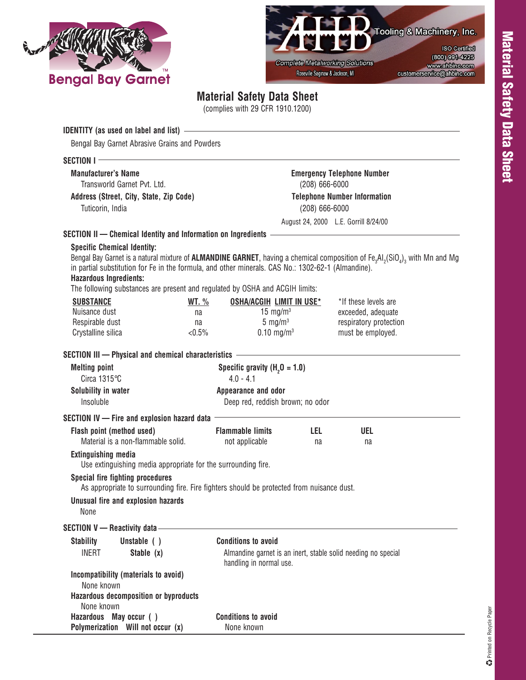



## **Material Safety Data Sheet**

(complies with 29 CFR 1910.1200)

| <b>IDENTITY</b> (as used on label and list) $-$<br>Bengal Bay Garnet Abrasive Grains and Powders                                                                                                                    |                                                         |                                                                                                                                                                                      |  |  |  |  |
|---------------------------------------------------------------------------------------------------------------------------------------------------------------------------------------------------------------------|---------------------------------------------------------|--------------------------------------------------------------------------------------------------------------------------------------------------------------------------------------|--|--|--|--|
| SECTION I-                                                                                                                                                                                                          |                                                         |                                                                                                                                                                                      |  |  |  |  |
| <b>Manufacturer's Name</b>                                                                                                                                                                                          |                                                         | <b>Emergency Telephone Number</b>                                                                                                                                                    |  |  |  |  |
| Transworld Garnet Pyt. Ltd.                                                                                                                                                                                         |                                                         | $(208)$ 666-6000                                                                                                                                                                     |  |  |  |  |
| Address (Street, City, State, Zip Code)                                                                                                                                                                             |                                                         | <b>Telephone Number Information</b>                                                                                                                                                  |  |  |  |  |
| Tuticorin, India                                                                                                                                                                                                    |                                                         | $(208)$ 666-6000                                                                                                                                                                     |  |  |  |  |
|                                                                                                                                                                                                                     |                                                         | August 24, 2000 L.E. Gorrill 8/24/00                                                                                                                                                 |  |  |  |  |
| SECTION II - Chemical Identity and Information on Ingredients - The Control of the Chemical Identity and Information on Ingredients                                                                                 |                                                         |                                                                                                                                                                                      |  |  |  |  |
| <b>Specific Chemical Identity:</b>                                                                                                                                                                                  |                                                         |                                                                                                                                                                                      |  |  |  |  |
| in partial substitution for Fe in the formula, and other minerals. CAS No.: 1302-62-1 (Almandine).<br><b>Hazardous Ingredients:</b><br>The following substances are present and regulated by OSHA and ACGIH limits: |                                                         | Bengal Bay Garnet is a natural mixture of <b>ALMANDINE GARNET</b> , having a chemical composition of Fe <sub>3</sub> AI <sub>2</sub> (SiO <sub>4</sub> ) <sub>3</sub> with Mn and Mg |  |  |  |  |
| <b>SUBSTANCE</b>                                                                                                                                                                                                    | <b>OSHA/ACGIH LIMIT IN USE*</b><br><u>WT. %</u>         | *If these levels are                                                                                                                                                                 |  |  |  |  |
| Nuisance dust                                                                                                                                                                                                       | 15 mg/m $3$<br>na                                       | exceeded, adequate                                                                                                                                                                   |  |  |  |  |
| Respirable dust                                                                                                                                                                                                     | 5 mg/ $m3$<br>na                                        | respiratory protection                                                                                                                                                               |  |  |  |  |
| Crystalline silica                                                                                                                                                                                                  | $0.10 \; \text{mg/m}^3$<br>$< 0.5\%$                    | must be employed.                                                                                                                                                                    |  |  |  |  |
| SECTION III - Physical and chemical characteristics -                                                                                                                                                               |                                                         |                                                                                                                                                                                      |  |  |  |  |
| <b>Melting point</b>                                                                                                                                                                                                | Specific gravity $(H20 = 1.0)$                          |                                                                                                                                                                                      |  |  |  |  |
| Circa $1315^{\circ}$ C                                                                                                                                                                                              | $4.0 - 4.1$                                             |                                                                                                                                                                                      |  |  |  |  |
| Solubility in water<br>Insoluble                                                                                                                                                                                    | Appearance and odor<br>Deep red, reddish brown; no odor |                                                                                                                                                                                      |  |  |  |  |
| SECTION IV - Fire and explosion hazard data                                                                                                                                                                         |                                                         |                                                                                                                                                                                      |  |  |  |  |
| Flash point (method used)<br>Material is a non-flammable solid.                                                                                                                                                     | <b>Flammable limits</b><br>not applicable               | LEL.<br><b>UEL</b><br>na<br>na                                                                                                                                                       |  |  |  |  |
| <b>Extinguishing media</b><br>Use extinguishing media appropriate for the surrounding fire.                                                                                                                         |                                                         |                                                                                                                                                                                      |  |  |  |  |
| Special fire fighting procedures<br>As appropriate to surrounding fire. Fire fighters should be protected from nuisance dust.                                                                                       |                                                         |                                                                                                                                                                                      |  |  |  |  |
| Unusual fire and explosion hazards<br>None                                                                                                                                                                          |                                                         |                                                                                                                                                                                      |  |  |  |  |
| SECTION V - Reactivity data -                                                                                                                                                                                       |                                                         |                                                                                                                                                                                      |  |  |  |  |
| Unstable ()<br><b>Stability</b>                                                                                                                                                                                     | <b>Conditions to avoid</b>                              |                                                                                                                                                                                      |  |  |  |  |
| Stable $(x)$<br>INERT                                                                                                                                                                                               |                                                         | Almandine garnet is an inert, stable solid needing no special<br>handling in normal use.                                                                                             |  |  |  |  |
| Incompatibility (materials to avoid)<br>None known                                                                                                                                                                  |                                                         |                                                                                                                                                                                      |  |  |  |  |
| <b>Hazardous decomposition or byproducts</b><br>None known                                                                                                                                                          |                                                         |                                                                                                                                                                                      |  |  |  |  |
| Hazardous May occur ()                                                                                                                                                                                              | <b>Conditions to avoid</b>                              |                                                                                                                                                                                      |  |  |  |  |
| Polymerization Will not occur (x)                                                                                                                                                                                   | None known                                              |                                                                                                                                                                                      |  |  |  |  |